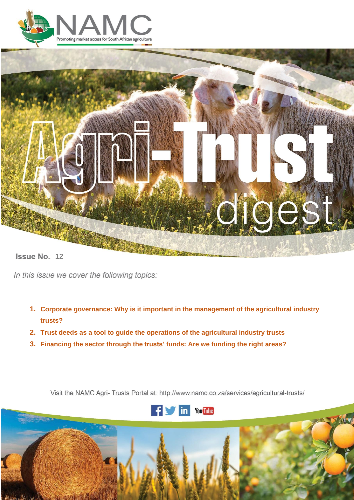



**12 12** 

In this issue we cover the following topics:

- **1. Corporate governance: Why is it important in the management of the agricultural industry trusts?**
- **2. Trust deeds as a tool to guide the operations of the agricultural industry trusts**
- **3. Financing the sector through the trusts' funds: Are we funding the right areas?**

Visit the NAMC Agri- Trusts Portal at: http://www.namc.co.za/services/agricultural-trusts/



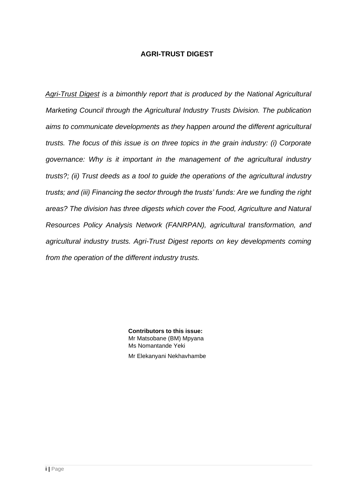# **AGRI-TRUST DIGEST**

*Agri-Trust Digest is a bimonthly report that is produced by the National Agricultural Marketing Council through the Agricultural Industry Trusts Division. The publication aims to communicate developments as they happen around the different agricultural trusts. The focus of this issue is on three topics in the grain industry: (i) Corporate governance: Why is it important in the management of the agricultural industry trusts?; (ii) Trust deeds as a tool to guide the operations of the agricultural industry trusts; and (iii) Financing the sector through the trusts' funds: Are we funding the right areas? The division has three digests which cover the Food, Agriculture and Natural Resources Policy Analysis Network (FANRPAN), agricultural transformation, and agricultural industry trusts. Agri-Trust Digest reports on key developments coming from the operation of the different industry trusts.*

> **Contributors to this issue:** Mr Matsobane (BM) Mpyana Ms Nomantande Yeki Mr Elekanyani Nekhavhambe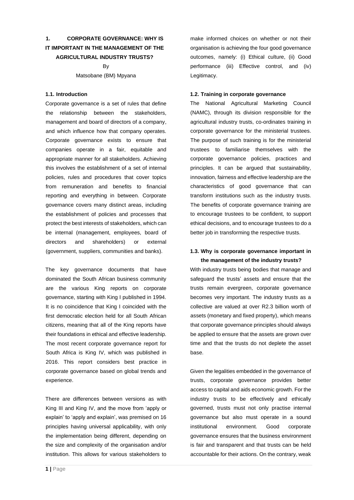# **1. CORPORATE GOVERNANCE: WHY IS IT IMPORTANT IN THE MANAGEMENT OF THE AGRICULTURAL INDUSTRY TRUSTS?**

By Matsobane (BM) Mpyana

#### **1.1. Introduction**

Corporate governance is a set of rules that define the relationship between the stakeholders, management and board of directors of a company, and which influence how that company operates. Corporate governance exists to ensure that companies operate in a fair, equitable and appropriate manner for all stakeholders. Achieving this involves the establishment of a set of internal policies, rules and procedures that cover topics from remuneration and benefits to financial reporting and everything in between. Corporate governance covers many distinct areas, including the establishment of policies and processes that protect the best interests of stakeholders, which can be internal (management, employees, board of directors and shareholders) or external (government, suppliers, communities and banks).

The key governance documents that have dominated the South African business community are the various King reports on corporate governance, starting with King I published in 1994. It is no coincidence that King I coincided with the first democratic election held for all South African citizens, meaning that all of the King reports have their foundations in ethical and effective leadership. The most recent corporate governance report for South Africa is King IV, which was published in 2016. This report considers best practice in corporate governance based on global trends and experience.

There are differences between versions as with King III and King IV, and the move from 'apply or explain' to 'apply and explain', was premised on 16 principles having universal applicability, with only the implementation being different, depending on the size and complexity of the organisation and/or institution. This allows for various stakeholders to

make informed choices on whether or not their organisation is achieving the four good governance outcomes, namely: (i) Ethical culture, (ii) Good performance (iii) Effective control, and (iv) Legitimacy.

#### **1.2. Training in corporate governance**

The National Agricultural Marketing Council (NAMC), through its division responsible for the agricultural industry trusts, co-ordinates training in corporate governance for the ministerial trustees. The purpose of such training is for the ministerial trustees to familiarise themselves with the corporate governance policies, practices and principles. It can be argued that sustainability, innovation, fairness and effective leadership are the characteristics of good governance that can transform institutions such as the industry trusts. The benefits of corporate governance training are to encourage trustees to be confident, to support ethical decisions, and to encourage trustees to do a better job in transforming the respective trusts.

### **1.3. Why is corporate governance important in the management of the industry trusts?**

With industry trusts being bodies that manage and safeguard the trusts' assets and ensure that the trusts remain evergreen, corporate governance becomes very important. The industry trusts as a collective are valued at over R2.3 billion worth of assets (monetary and fixed property), which means that corporate governance principles should always be applied to ensure that the assets are grown over time and that the trusts do not deplete the asset base.

Given the legalities embedded in the governance of trusts, corporate governance provides better access to capital and aids economic growth. For the industry trusts to be effectively and ethically governed, trusts must not only practise internal governance but also must operate in a sound institutional environment. Good corporate governance ensures that the business environment is fair and transparent and that trusts can be held accountable for their actions. On the contrary, weak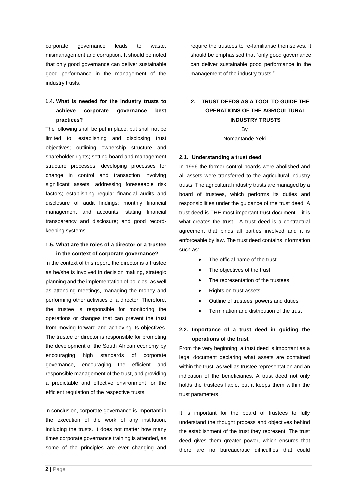corporate governance leads to waste, mismanagement and corruption. It should be noted that only good governance can deliver sustainable good performance in the management of the industry trusts.

## **1.4. What is needed for the industry trusts to achieve corporate governance best practices?**

The following shall be put in place, but shall not be limited to, establishing and disclosing trust objectives; outlining ownership structure and shareholder rights; setting board and management structure processes; developing processes for change in control and transaction involving significant assets; addressing foreseeable risk factors; establishing regular financial audits and disclosure of audit findings; monthly financial management and accounts; stating financial transparency and disclosure; and good recordkeeping systems.

#### **1.5. What are the roles of a director or a trustee in the context of corporate governance?**

In the context of this report, the director is a trustee as he/she is involved in decision making, strategic planning and the implementation of policies, as well as attending meetings, managing the money and performing other activities of a director. Therefore, the trustee is responsible for monitoring the operations or changes that can prevent the trust from moving forward and achieving its objectives. The trustee or director is responsible for promoting the development of the South African economy by encouraging high standards of corporate governance, encouraging the efficient and responsible management of the trust, and providing a predictable and effective environment for the efficient regulation of the respective trusts.

In conclusion, corporate governance is important in the execution of the work of any institution, including the trusts. It does not matter how many times corporate governance training is attended, as some of the principles are ever changing and

require the trustees to re-familiarise themselves. It should be emphasised that "only good governance can deliver sustainable good performance in the management of the industry trusts."

# **2. TRUST DEEDS AS A TOOL TO GUIDE THE OPERATIONS OF THE AGRICULTURAL INDUSTRY TRUSTS**

By Nomantande Yeki

### **2.1. Understanding a trust deed**

In 1996 the former control boards were abolished and all assets were transferred to the agricultural industry trusts. The agricultural industry trusts are managed by a board of trustees, which performs its duties and responsibilities under the guidance of the trust deed. A trust deed is THE most important trust document – it is what creates the trust. A trust deed is a contractual agreement that binds all parties involved and it is enforceable by law. The trust deed contains information such as:

- The official name of the trust
- The objectives of the trust
- The representation of the trustees
- Rights on trust assets
- Outline of trustees' powers and duties
- Termination and distribution of the trust

### **2.2. Importance of a trust deed in guiding the operations of the trust**

From the very beginning, a trust deed is important as a legal document declaring what assets are contained within the trust, as well as trustee representation and an indication of the beneficiaries. A trust deed not only holds the trustees liable, but it keeps them within the trust parameters.

It is important for the board of trustees to fully understand the thought process and objectives behind the establishment of the trust they represent. The trust deed gives them greater power, which ensures that there are no bureaucratic difficulties that could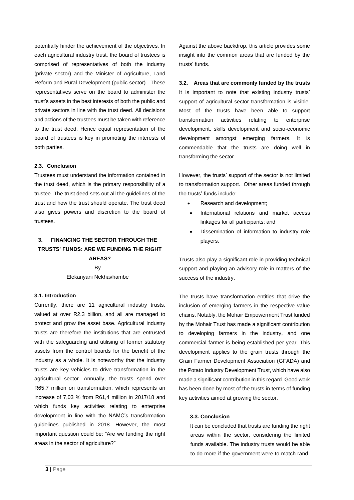potentially hinder the achievement of the objectives. In each agricultural industry trust, the board of trustees is comprised of representatives of both the industry (private sector) and the Minister of Agriculture, Land Reform and Rural Development (public sector). These representatives serve on the board to administer the trust's assets in the best interests of both the public and private sectors in line with the trust deed. All decisions and actions of the trustees must be taken with reference to the trust deed. Hence equal representation of the board of trustees is key in promoting the interests of both parties.

#### **2.3. Conclusion**

Trustees must understand the information contained in the trust deed, which is the primary responsibility of a trustee. The trust deed sets out all the guidelines of the trust and how the trust should operate. The trust deed also gives powers and discretion to the board of trustees.

### **3. FINANCING THE SECTOR THROUGH THE TRUSTS' FUNDS: ARE WE FUNDING THE RIGHT AREAS?**

By Elekanyani Nekhavhambe

#### **3.1. Introduction**

Currently, there are 11 agricultural industry trusts, valued at over R2.3 billion, and all are managed to protect and grow the asset base. Agricultural industry trusts are therefore the institutions that are entrusted with the safeguarding and utilising of former statutory assets from the control boards for the benefit of the industry as a whole. It is noteworthy that the industry trusts are key vehicles to drive transformation in the agricultural sector. Annually, the trusts spend over R65,7 million on transformation, which represents an increase of 7,03 % from R61,4 million in 2017/18 and which funds key activities relating to enterprise development in line with the NAMC's transformation guidelines published in 2018. However, the most important question could be: "Are we funding the right areas in the sector of agriculture?"

Against the above backdrop, this article provides some insight into the common areas that are funded by the trusts' funds.

### **3.2. Areas that are commonly funded by the trusts**

It is important to note that existing industry trusts' support of agricultural sector transformation is visible. Most of the trusts have been able to support transformation activities relating to enterprise development, skills development and socio-economic development amongst emerging farmers. It is commendable that the trusts are doing well in transforming the sector.

However, the trusts' support of the sector is not limited to transformation support. Other areas funded through the trusts' funds include:

- Research and development;
- International relations and market access linkages for all participants; and
- Dissemination of information to industry role players.

Trusts also play a significant role in providing technical support and playing an advisory role in matters of the success of the industry.

The trusts have transformation entities that drive the inclusion of emerging farmers in the respective value chains. Notably, the Mohair Empowerment Trust funded by the Mohair Trust has made a significant contribution to developing farmers in the industry, and one commercial farmer is being established per year. This development applies to the grain trusts through the Grain Farmer Development Association (GFADA) and the Potato Industry Development Trust, which have also made a significant contribution in this regard. Good work has been done by most of the trusts in terms of funding key activities aimed at growing the sector.

#### **3.3. Conclusion**

It can be concluded that trusts are funding the right areas within the sector, considering the limited funds available. The industry trusts would be able to do more if the government were to match rand